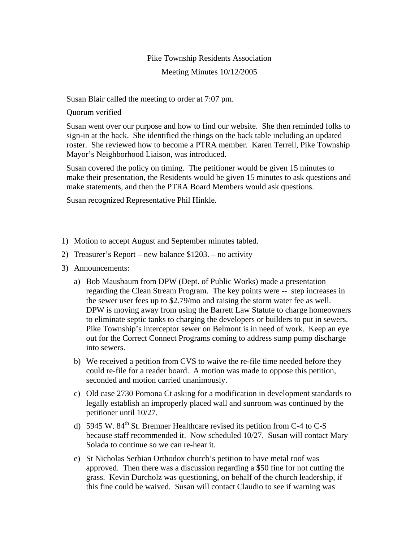## Pike Township Residents Association Meeting Minutes 10/12/2005

Susan Blair called the meeting to order at 7:07 pm.

Quorum verified

Susan went over our purpose and how to find our website. She then reminded folks to sign-in at the back. She identified the things on the back table including an updated roster. She reviewed how to become a PTRA member. Karen Terrell, Pike Township Mayor's Neighborhood Liaison, was introduced.

Susan covered the policy on timing. The petitioner would be given 15 minutes to make their presentation, the Residents would be given 15 minutes to ask questions and make statements, and then the PTRA Board Members would ask questions.

Susan recognized Representative Phil Hinkle.

- 1) Motion to accept August and September minutes tabled.
- 2) Treasurer's Report new balance \$1203. no activity
- 3) Announcements:
	- a) Bob Mausbaum from DPW (Dept. of Public Works) made a presentation regarding the Clean Stream Program. The key points were -- step increases in the sewer user fees up to \$2.79/mo and raising the storm water fee as well. DPW is moving away from using the Barrett Law Statute to charge homeowners to eliminate septic tanks to charging the developers or builders to put in sewers. Pike Township's interceptor sewer on Belmont is in need of work. Keep an eye out for the Correct Connect Programs coming to address sump pump discharge into sewers.
	- b) We received a petition from CVS to waive the re-file time needed before they could re-file for a reader board. A motion was made to oppose this petition, seconded and motion carried unanimously.
	- c) Old case 2730 Pomona Ct asking for a modification in development standards to legally establish an improperly placed wall and sunroom was continued by the petitioner until 10/27.
	- d) 5945 W.  $84<sup>th</sup>$  St. Bremner Healthcare revised its petition from C-4 to C-S because staff recommended it. Now scheduled 10/27. Susan will contact Mary Solada to continue so we can re-hear it.
	- e) St Nicholas Serbian Orthodox church's petition to have metal roof was approved. Then there was a discussion regarding a \$50 fine for not cutting the grass. Kevin Durcholz was questioning, on behalf of the church leadership, if this fine could be waived. Susan will contact Claudio to see if warning was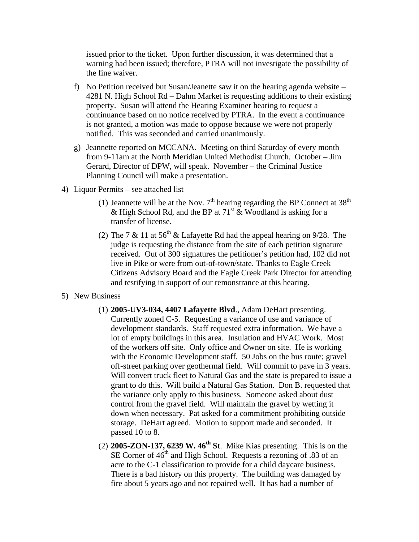issued prior to the ticket. Upon further discussion, it was determined that a warning had been issued; therefore, PTRA will not investigate the possibility of the fine waiver.

- f) No Petition received but Susan/Jeanette saw it on the hearing agenda website 4281 N. High School Rd – Dahm Market is requesting additions to their existing property. Susan will attend the Hearing Examiner hearing to request a continuance based on no notice received by PTRA. In the event a continuance is not granted, a motion was made to oppose because we were not properly notified. This was seconded and carried unanimously.
- g) Jeannette reported on MCCANA. Meeting on third Saturday of every month from 9-11am at the North Meridian United Methodist Church. October – Jim Gerard, Director of DPW, will speak. November – the Criminal Justice Planning Council will make a presentation.
- 4) Liquor Permits see attached list
	- (1) Jeannette will be at the Nov.  $7<sup>th</sup>$  hearing regarding the BP Connect at  $38<sup>th</sup>$ & High School Rd, and the BP at  $71<sup>st</sup>$  & Woodland is asking for a transfer of license.
	- (2) The 7 & 11 at  $56<sup>th</sup>$  & Lafayette Rd had the appeal hearing on 9/28. The judge is requesting the distance from the site of each petition signature received. Out of 300 signatures the petitioner's petition had, 102 did not live in Pike or were from out-of-town/state. Thanks to Eagle Creek Citizens Advisory Board and the Eagle Creek Park Director for attending and testifying in support of our remonstrance at this hearing.
- 5) New Business
	- (1) **2005-UV3-034, 4407 Lafayette Blvd**., Adam DeHart presenting. Currently zoned C-5. Requesting a variance of use and variance of development standards. Staff requested extra information. We have a lot of empty buildings in this area. Insulation and HVAC Work. Most of the workers off site. Only office and Owner on site. He is working with the Economic Development staff. 50 Jobs on the bus route; gravel off-street parking over geothermal field. Will commit to pave in 3 years. Will convert truck fleet to Natural Gas and the state is prepared to issue a grant to do this. Will build a Natural Gas Station. Don B. requested that the variance only apply to this business. Someone asked about dust control from the gravel field. Will maintain the gravel by wetting it down when necessary. Pat asked for a commitment prohibiting outside storage. DeHart agreed. Motion to support made and seconded. It passed 10 to 8.
	- (2) **2005-ZON-137, 6239 W. 46th St**. Mike Kias presenting. This is on the SE Corner of  $46<sup>th</sup>$  and High School. Requests a rezoning of .83 of an acre to the C-1 classification to provide for a child daycare business. There is a bad history on this property. The building was damaged by fire about 5 years ago and not repaired well. It has had a number of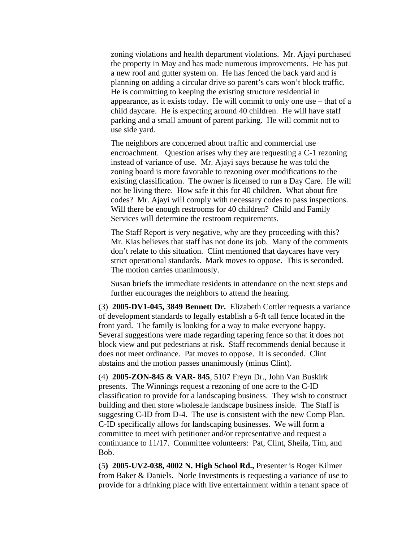zoning violations and health department violations. Mr. Ajayi purchased the property in May and has made numerous improvements. He has put a new roof and gutter system on. He has fenced the back yard and is planning on adding a circular drive so parent's cars won't block traffic. He is committing to keeping the existing structure residential in appearance, as it exists today. He will commit to only one use – that of a child daycare. He is expecting around 40 children. He will have staff parking and a small amount of parent parking. He will commit not to use side yard.

The neighbors are concerned about traffic and commercial use encroachment. Question arises why they are requesting a C-1 rezoning instead of variance of use. Mr. Ajayi says because he was told the zoning board is more favorable to rezoning over modifications to the existing classification. The owner is licensed to run a Day Care. He will not be living there. How safe it this for 40 children. What about fire codes? Mr. Ajayi will comply with necessary codes to pass inspections. Will there be enough restrooms for 40 children? Child and Family Services will determine the restroom requirements.

The Staff Report is very negative, why are they proceeding with this? Mr. Kias believes that staff has not done its job. Many of the comments don't relate to this situation. Clint mentioned that daycares have very strict operational standards. Mark moves to oppose. This is seconded. The motion carries unanimously.

Susan briefs the immediate residents in attendance on the next steps and further encourages the neighbors to attend the hearing.

(3) **2005-DV1-045, 3849 Bennett Dr.** Elizabeth Cottler requests a variance of development standards to legally establish a 6-ft tall fence located in the front yard. The family is looking for a way to make everyone happy. Several suggestions were made regarding tapering fence so that it does not block view and put pedestrians at risk. Staff recommends denial because it does not meet ordinance. Pat moves to oppose. It is seconded. Clint abstains and the motion passes unanimously (minus Clint).

(4) **2005-ZON-845 & VAR- 845**, 5107 Freyn Dr., John Van Buskirk presents. The Winnings request a rezoning of one acre to the C-ID classification to provide for a landscaping business. They wish to construct building and then store wholesale landscape business inside. The Staff is suggesting C-ID from D-4. The use is consistent with the new Comp Plan. C-ID specifically allows for landscaping businesses. We will form a committee to meet with petitioner and/or representative and request a continuance to 11/17. Committee volunteers: Pat, Clint, Sheila, Tim, and Bob.

(5**) 2005-UV2-038, 4002 N. High School Rd.,** Presenter is Roger Kilmer from Baker & Daniels. Norle Investments is requesting a variance of use to provide for a drinking place with live entertainment within a tenant space of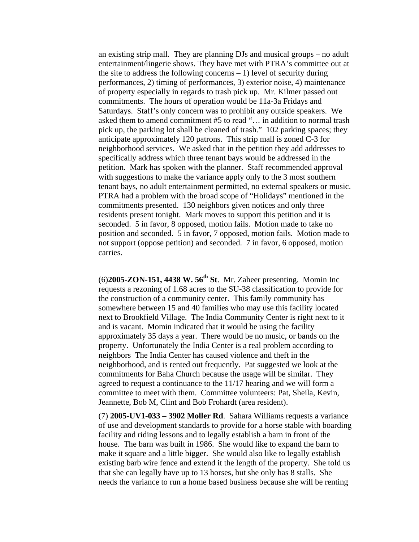an existing strip mall. They are planning DJs and musical groups – no adult entertainment/lingerie shows. They have met with PTRA's committee out at the site to address the following concerns  $-1$ ) level of security during performances, 2) timing of performances, 3) exterior noise, 4) maintenance of property especially in regards to trash pick up. Mr. Kilmer passed out commitments. The hours of operation would be 11a-3a Fridays and Saturdays. Staff's only concern was to prohibit any outside speakers. We asked them to amend commitment #5 to read "… in addition to normal trash pick up, the parking lot shall be cleaned of trash." 102 parking spaces; they anticipate approximately 120 patrons. This strip mall is zoned C-3 for neighborhood services. We asked that in the petition they add addresses to specifically address which three tenant bays would be addressed in the petition. Mark has spoken with the planner. Staff recommended approval with suggestions to make the variance apply only to the 3 most southern tenant bays, no adult entertainment permitted, no external speakers or music. PTRA had a problem with the broad scope of "Holidays" mentioned in the commitments presented. 130 neighbors given notices and only three residents present tonight. Mark moves to support this petition and it is seconded. 5 in favor, 8 opposed, motion fails. Motion made to take no position and seconded. 5 in favor, 7 opposed, motion fails. Motion made to not support (oppose petition) and seconded. 7 in favor, 6 opposed, motion carries.

 $(6)$ **2005-ZON-151, 4438 W. 56<sup>th</sup> St**. Mr. Zaheer presenting. Momin Inc requests a rezoning of 1.68 acres to the SU-38 classification to provide for the construction of a community center. This family community has somewhere between 15 and 40 families who may use this facility located next to Brookfield Village. The India Community Center is right next to it and is vacant. Momin indicated that it would be using the facility approximately 35 days a year. There would be no music, or bands on the property. Unfortunately the India Center is a real problem according to neighbors The India Center has caused violence and theft in the neighborhood, and is rented out frequently. Pat suggested we look at the commitments for Baha Church because the usage will be similar. They agreed to request a continuance to the 11/17 hearing and we will form a committee to meet with them. Committee volunteers: Pat, Sheila, Kevin, Jeannette, Bob M, Clint and Bob Frohardt (area resident).

(7) **2005-UV1-033 – 3902 Moller Rd**. Sahara Williams requests a variance of use and development standards to provide for a horse stable with boarding facility and riding lessons and to legally establish a barn in front of the house. The barn was built in 1986. She would like to expand the barn to make it square and a little bigger. She would also like to legally establish existing barb wire fence and extend it the length of the property. She told us that she can legally have up to 13 horses, but she only has 8 stalls. She needs the variance to run a home based business because she will be renting